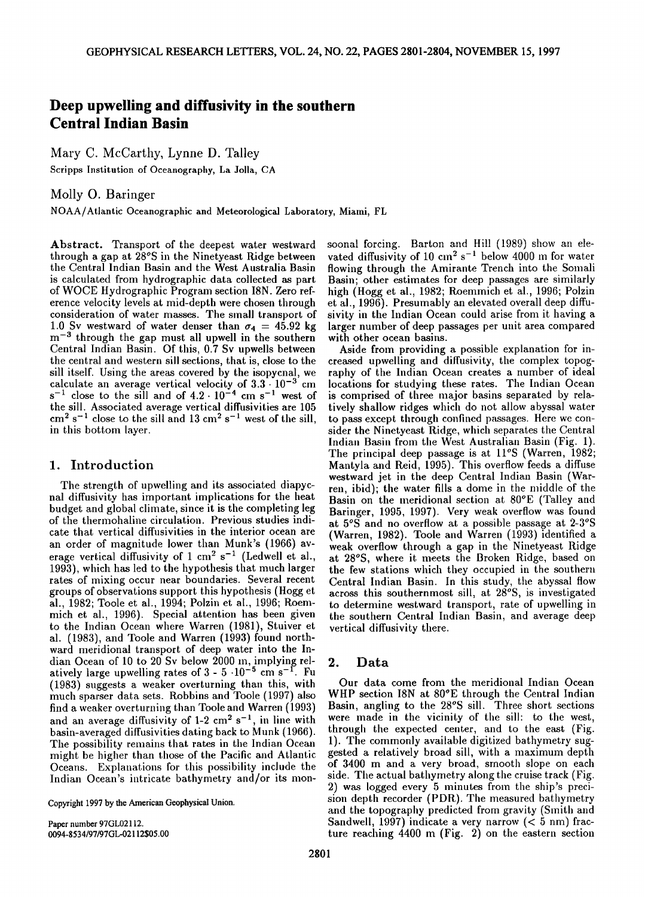# **Deep upwelling and diffusivity in the southern Central Indian Basin**

**Mary C. McCarthy, Lynne D. Talley** 

**Scripps Institution of Oceanography, La Jolla, CA** 

**Molly O. Baringer** 

**NOAA/Atlantic Oceanographic and Meteorological Laboratory, Miami, FL** 

Abstract. Transport of the deepest water westward **through a gap at 28øS in the Ninetyeast Ridge between the Central Indian Basin and the West Australia Basin is calculated from hydrographic data collected as part of WOCE Hydrographic Program section I8N. Zero reference velocity levels at mid-depth were chosen through consideration of water masses. The small transport of**  1.0 Sv westward of water denser than  $\sigma_4 = 45.92$  kg **m -3 through the gap must all upwell in the southern Central Indian Basin. Of this, 0.7 Sv upwells between the central and western sill sections, that is, close to the sill itself. Using the areas covered by the isopycnal, we calculate an average vertical velocity of 3.3.10 -3 cm**   $s^{-1}$  close to the sill and of  $4.2 \cdot 10^{-4}$  cm  $s^{-1}$  west of **the sill. Associated average vertical diffusivities are 105**   $cm<sup>2</sup> s<sup>-1</sup>$  close to the sill and 13 cm<sup>2</sup> s<sup>-1</sup> west of the sill, **in this bottom layer.** 

## **1. Introduction**

**The strength of upwelling and its associated diapychal diffusivity has important implications for the heat budget and global climate, since it is the completing leg of the thermohaline circulation. Previous studies indicate that vertical diffusivities in the interior ocean are an order of magnitude lower than Munk's (1966) av**erage vertical diffusivity of 1 cm<sup>2</sup> s<sup>-1</sup> (Ledwell et al., **1993), which has led to the hypothesis that much larger rates of mixing occur near boundaries. Several recent groups of observations support this hypothesis (Hogg et al., 1982; Toole et al., 1994; Polzin ct al., 1996; Roeromich et al., 1996). Special attention has been given to the Indian Ocean where Warren (1981), Stuiver et al. (1983), and Toole and Warren (1993) found northward meridional transport of deep water into the Indian Ocean of 10 to 20 Sv below 2000 in, implying rel-2.**<br>atively large upwelling rates of  $3 - 5 \cdot 10^{-5}$  cm s<sup>-1</sup>. Fu **(1983) suggests aweaker overturning than this, with much sparser data sets. Robbins and Toole (1997) also**  find a weaker overturning than Toole and Warren (1993) and an average diffusivity of  $1-2$  cm<sup>2</sup> s<sup>-1</sup>, in line with **basin-averaged diffusivities dating back to Munk (1966). The possibility remains that rates in the Indian Ocean might be higher than those of the Pacific and Atlantic Oceans. Explanations for this possibility include the**  Indian Ocean's intricate bathymetry and/or its mon-

**Copyright 1997 by the American Geophysical Union.** 

**Paper number 97GL02112. 0094-8534/97/97GL-02112505.00**  soonal forcing. Barton and Hill (1989) show an elevated diffusivity of 10 cm<sup>2</sup> s<sup>-1</sup> below 4000 m for water **flowing through the Amirante Trench into the Somali**  Basin; other estimates for deep passages are similarly high (Hogg et al., 1982; Roemmich et al., 1996; Polzin et al., 1996). Presumably an elevated overall deep diffusivity in the Indian Ocean could arise from it having a larger number of deep passages per unit area compared with other ocean basins.

Aside from providing a possible explanation for increased upwelling and diffusivity, the complex topography of the Indian Ocean creates a number of ideal locations for studying these rates. The Indian Ocean **is comprised of three major basins separated by rela**tively shallow ridges which do not allow abyssal water **to pass except through confined passages. Here we consider the Ninetyeast Ridge, which separates the Central**  Indian Basin from the West Australian Basin (Fig. 1). **The principal deep passage is at 11øS (Warren, 1982; Mantyla and Reid, 1995). This overflow feeds a diffuse westward jet in the deep Central Indian Basin (Warren, ibid); the water fills a. dome in the middle of the Basin on the meridional section at 80°E (Talley and Baringer, 1995, 1997). Very weak overflow was found at 5øS and no overflow at a possible passage at 2-3øS**  (Warren, 1982). Toole and Warren (1993) identified a **weak overflow through a gap in the Ninetyeast Ridge at 28øS, where it meets the Broken Ridge, based on the few stations which they occupied in the southern Central Indian Basin. In this study, the abyssal flow across this southernmost sill, at 28øS, is investigated to determine westward transport, rate of upwelling in the southern Central Indian Basin, and average deep vertical diffusivity there.** 

#### **2. Data**

**Our data come from the meridional Indian Ocean WHP section I8N at 80øE through the Central Indian**  Basin, angling to the 28°S sill. Three short sections were made in the vicinity of the sill: to the west, **through the expected center, and to the east (Fig.**  1). The commonly available digitized bathymetry sug**gested a relatively broad sill, with a maximum depth of 3400 m and a very broad, smooth slope on each**  side. The actual bathymetry along the cruise track (Fig. 2) was logged every 5 minutes from the ship's preci**sion depth recorder (PDR). The measured bathymetry**  and the topography predicted from gravity (Smith and Sandwell, 1997) indicate a very narrow (< 5 nm) frac**ture reaching 4400 m (Fig. 2) on the eastern section**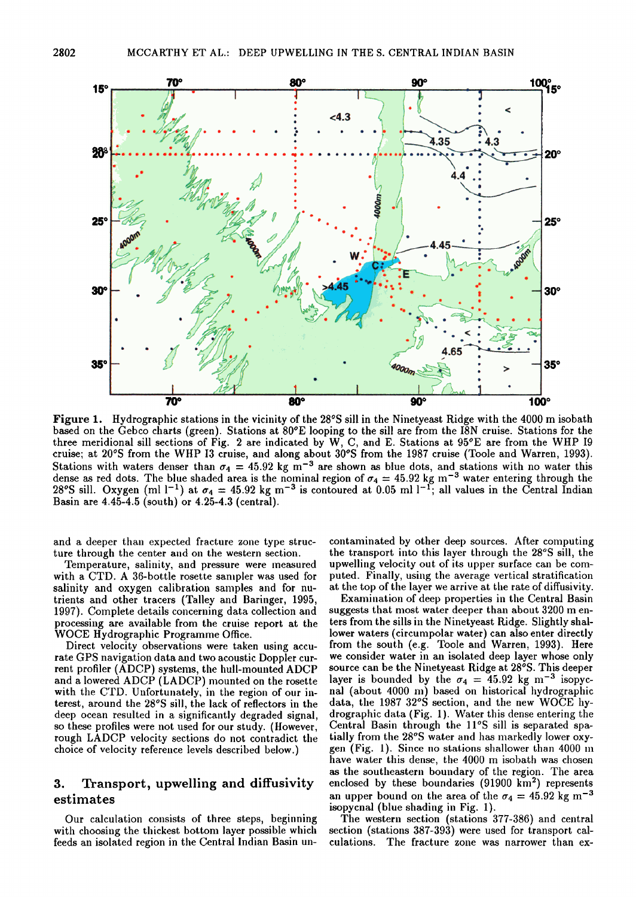

**Figure 1.** Hydrographic stations in the vicinity of the 28°S sill in the Ninetyeast Ridge with the 4000 m isobath based on the Gebco charts (green). Stations at 80°E looping to the sill are from the I8N cruise. Stations for the three meridional sill sections of Fig. 2 are indicated by W, C, and E. Stations at  $95^{\circ}$ E are from the WHP 19 cruise; at 20°S from the WHP 13 cruise, and along about 30°S from the 1987 cruise (Toole and Warren, 1993). Stations with waters denser than  $\sigma_4 = 45.92$  kg m<sup>-3</sup> are shown as blue dots, and stations with no water this dense as red dots. The blue shaded area is the nominal region of  $\sigma_4 = 45.92$  kg m<sup>-5</sup> water entering through the 28°S sill. Oxygen (ml 1<sup>-1</sup>) at  $\sigma_4 = 45.92$  kg m<sup>-3</sup> is contoured at 0.05 ml 1<sup>-1</sup>; all values in the Ce **Basin are 4.45-4.5 (south) or 4.25-4.3 (central).** 

and a deeper than expected fracture zone type structure through the center and on the western section.

Temperature, salinity, and pressure were measured with a CTD. A 36-bottle rosette sampler was used for salinity and oxygen calibration samples and for nu**trients and other tracers (Talley and Baringer, 1995,**  1997). Complete details concerning data collection and processing are available from the cruise report at the **WOCE Hydrographic Programme Office.** 

Direct velocity observations were taken using accurate GPS navigation data and two acoustic Doppler cur**rent profiler (ADCP) systems, the hull-mounted ADCP**  and a lowered ADCP (LADCP) mounted on the rosette with the CTD. Unfortunately, in the region of our interest, around the 28°S sill, the lack of reflectors in the deep ocean resulted in a significantly degraded signal, so these profiles were not used for our study. (However, **rough LADCP velocity sections do not contradict the**  choice of velocity reference levels described below.)

# **3. Transport, upwelling and diffusivity estimates**

**Our calculation consists of three steps, beginning**  with choosing the thickest bottom layer possible which **feeds an isolated region in the Central Indian Basin un-**

contaminated by other deep sources. After computing the transport into this layer through the 28°S sill, the **upwelling velocity out of its upper surface can be corn**puted. Finally, using the average vertical stratification **at the top of tile layer we arrive at the rate of diffusivity.** 

**Examination of deep properties in the Central Basin** suggests that most water deeper than about 3200 m en**ters from the sills in the Ninetyeast Ridge. Slightly shal**lower waters (circumpolar water) can also enter directly from the south (e.g. Toole and Warren, 1993). Here **we consider water in an isolated deep layer whose only source can be the Ninet. yeast, Ridge at 28øS. This deeper**  layer is bounded by the  $\sigma_4 = 45.92$  kg m<sup>-3</sup> isopyc**hal (about, 4000 m) bascd on historical hydrographic**  data, the 1987 32°S section, and the new WOCE hy**drographic data (Fig. 1). Water this dense entering the**  Central Basin through the 11°S sill is separated spatially from the 28°S water and has markedly lower oxygen (Fig. 1). Since no stations shallower than 4000 m **have water this dense, the 4000 m isobath was chosen as the southeastern boundary of the region. The area**  enclosed by these boundaries (91900 km<sup>2</sup>) represents an upper bound on the area of the  $\sigma_4 = 45.92$  kg m<sup>-3</sup> **isopycnal (blue shading in Fig. 1).** 

**The western section (stations 377-386) and central**  section (stations 387-393) were used for transport cal**culations. The fracture zone was narrower than ex-**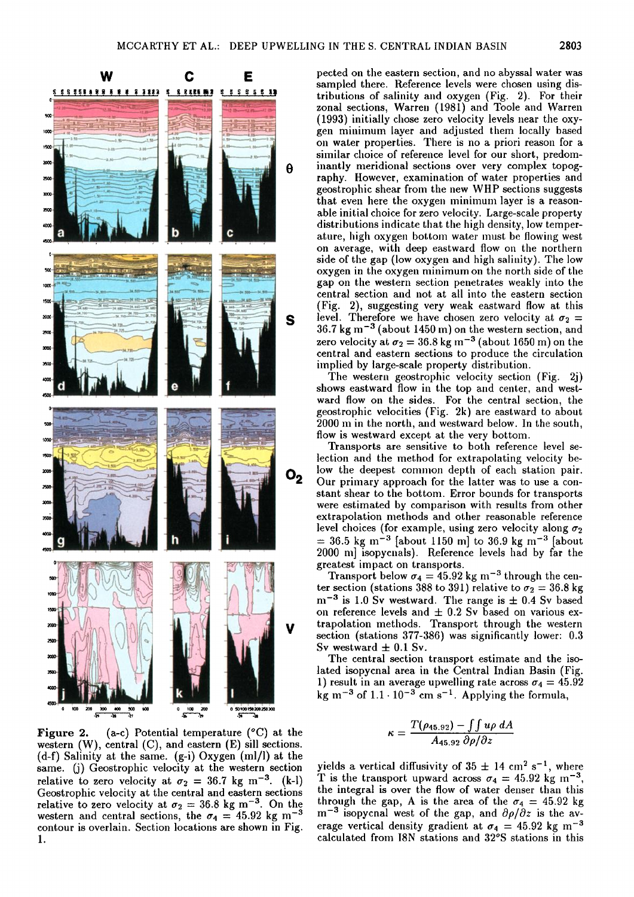

**Figure 2. (a-c) Potential temperature (øC) at the western (W), central (C), and eastern (E) sill sections. (d-f) Salinity at the same. (g-i)Oxygen (ml/1)at the same. (j) Geostrophic velocity at the western section**  relative to zero velocity at  $\sigma_2 = 36.7$  kg m<sup>-3</sup>. (k-l) **Geostrophic velocity at the central and eastern sections**  relative to zero velocity at  $\sigma_2 = 36.8$  kg m<sup>-3</sup>. On the western and central sections, the  $\sigma_4 = 45.92$  kg m<sup>-3</sup> **contour is overlain. Section locations are shown in Fig. 1.** 

**pected on the eastern section, and no abyssal water was** sampled there. Reference levels were chosen using dis**tributions of salinity and oxygen (Fig. 2). For their zonal sections, Warren (1981) and Toole and Warren (1993) initially chose zero velocity levels near the oxy**gen minimum layer and adjusted them locally based **on water properties. There is no a. priori reason for a similar choice of reference level for our short, predominantly meridional sections over very complex topography. However, examination of water properties and geostrophic shear from the new WHP sections suggests** that even here the oxygen minimum layer is a reason**able initial choice for zero velocity. Large-scale property**  distributions indicate that the high density, low temper**ature, high oxygen bottom water must be flowing west** on average, with deep eastward flow on the northern side of the gap (low oxygen and high salinity). The low **oxygen in the oxygen minimum on the north side of the gap on the western section penetrates weakly into the central section and not at; all into the eastern section (Fig. 2), suggesting very weak eastward flow at this level.** Therefore we have chosen zero velocity at  $\sigma_2$  = **36.7 kg m -3 (about 1450 m) on the western section, and**  zero velocity at  $\sigma_2 = 36.8 \text{ kg m}^{-3}$  (about 1650 m) on the **central and eastern sections to produce the circulation implied by large-scale property distribution.** 

**The western geostrophic velocity section (Fig. 2j) shows eastward flow in the top and center, and west**ward flow on the sides. For the central section, the **geostrophic velocities (Fig. 2k) are eastward to about 2000 m in the north, and westward below. In the south,**  flow is westward except at the very bottom.

**Transports are sensitive to both reference level selection and the method for extrapolating velocity below the deepest common depth of each station pair. Our primary approach for the latter was to use a con**stant shear to the bottom. Error bounds for transports **were estimated by comparison with results from other**  extrapolation methods and other reasonable reference level choices (for example, using zero velocity along  $\sigma_2$  $=$  36.5 kg m<sup>-3</sup> [about 1150 m] to 36.9 kg m<sup>-3</sup> [about 2000 m] isopycnals). Reference levels had by far the **greatest impact on transports.** 

Transport below  $\sigma_4 = 45.92$  kg m<sup>-3</sup> through the center section (stations 388 to 391) relative to  $\sigma_2 = 36.8$  kg  $m^{-3}$  is 1.0 Sv westward. The range is  $\pm$  0.4 Sv based on reference levels and  $\pm$  0.2 Sv based on various ex**trapolation methods. Transport through the western**  section (stations 377-386) was significantly lower: 0.3 Sv westward  $\pm$  0.1 Sv.

**The central section transport estimate and the isolated isopycnal area in the Central Indian Basin (Fig. 1) result in an average upwelling rate across**  $\sigma_4 = 45.92$ **kg m -3 of 1.1. l0 -3 cm s -•. Applying the formula,** 

$$
\kappa = \frac{T(\rho_{45.92}) - \int \int u \rho \, dA}{A_{45.92} \, \partial \rho / \partial z}
$$

yields a vertical diffusivity of  $35 \pm 14$  cm<sup>2</sup> s<sup>-1</sup>, where **T** is the transport upward across  $\sigma_4 = 45.92$  kg m<sup>-3</sup>. the integral is over the flow of water denser than this through the gap, A is the area of the  $\sigma_4 = 45.92$  kg  $m^{-3}$  isopycnal west of the gap, and  $\partial \rho / \partial z$  is the average vertical density gradient at  $\sigma_4 = 45.92$  kg m<sup>-3</sup> **calculated from I8N stations and 32øS stations in this**